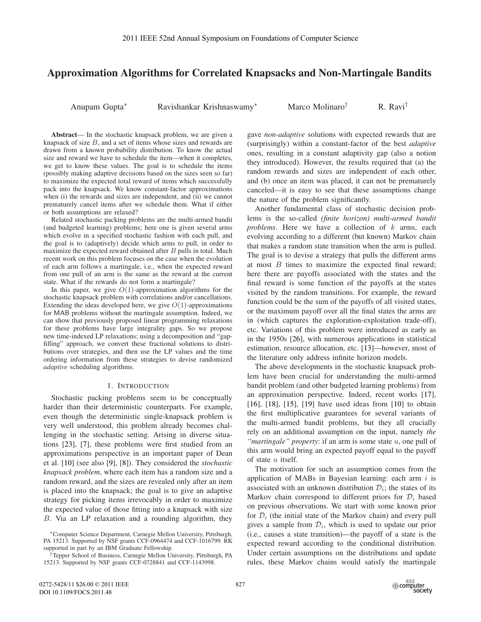# **Approximation Algorithms for Correlated Knapsacks and Non-Martingale Bandits**

Anupam Gupta<sup>∗</sup> Ravishankar Krishnaswamy<sup>∗</sup> Marco Molinaro† R. Ravi†

**Abstract**— In the stochastic knapsack problem, we are given a knapsack of size  $B$ , and a set of items whose sizes and rewards are drawn from a known probability distribution. To know the actual size and reward we have to schedule the item—when it completes, we get to know these values. The goal is to schedule the items (possibly making adaptive decisions based on the sizes seen so far) to maximize the expected total reward of items which successfully pack into the knapsack. We know constant-factor approximations when (i) the rewards and sizes are independent, and (ii) we cannot prematurely cancel items after we schedule them. What if either or both assumptions are relaxed?

Related stochastic packing problems are the multi-armed bandit (and budgeted learning) problems; here one is given several arms which evolve in a specified stochastic fashion with each pull, and the goal is to (adaptively) decide which arms to pull, in order to maximize the expected reward obtained after  $B$  pulls in total. Much recent work on this problem focuses on the case when the evolution of each arm follows a martingale, i.e., when the expected reward from one pull of an arm is the same as the reward at the current state. What if the rewards do not form a martingale?

In this paper, we give  $O(1)$ -approximation algorithms for the stochastic knapsack problem with correlations and/or cancellations. Extending the ideas developed here, we give  $O(1)$ -approximations for MAB problems without the martingale assumption. Indeed, we can show that previously proposed linear programming relaxations for these problems have large integrality gaps. So we propose new time-indexed LP relaxations; using a decomposition and "gapfilling" approach, we convert these fractional solutions to distributions over strategies, and then use the LP values and the time ordering information from these strategies to devise randomized *adaptive* scheduling algorithms.

#### 1. INTRODUCTION

Stochastic packing problems seem to be conceptually harder than their deterministic counterparts. For example, even though the deterministic single-knapsack problem is very well understood, this problem already becomes challenging in the stochastic setting. Arising in diverse situations [23], [7], these problems were first studied from an approximations perspective in an important paper of Dean et al. [10] (see also [9], [8]). They considered the *stochastic knapsack problem*, where each item has a random size and a random reward, and the sizes are revealed only after an item is placed into the knapsack; the goal is to give an adaptive strategy for picking items irrevocably in order to maximize the expected value of those fitting into a knapsack with size B. Via an LP relaxation and a rounding algorithm, they IEEE 52nd Annual Symposium o<br> **Prithms for Correlated**<br>
Ravishankar Krishnaswa<br>
mapsack problem, we are given a<br>
mams whose sizes and rewards are<br>
distribution. To know the actual<br>
distribution. To know the actual<br>
lele th

gave *non-adaptive* solutions with expected rewards that are (surprisingly) within a constant-factor of the best *adaptive* ones, resulting in a constant adaptivity gap (also a notion they introduced). However, the results required that (a) the random rewards and sizes are independent of each other, and (b) once an item was placed, it can not be prematurely canceled—it is easy to see that these assumptions change the nature of the problem significantly.

Another fundamental class of stochastic decision problems is the so-called *(finite horizon) multi-armed bandit problems*. Here we have a collection of k arms, each evolving according to a different (but known) Markov chain that makes a random state transition when the arm is pulled. The goal is to devise a strategy that pulls the different arms at most  $B$  times to maximize the expected final reward; here there are payoffs associated with the states and the final reward is some function of the payoffs at the states visited by the random transitions. For example, the reward function could be the sum of the payoffs of all visited states, or the maximum payoff over all the final states the arms are in (which captures the exploration-exploitation trade-off), etc. Variations of this problem were introduced as early as in the 1950s [26], with numerous applications in statistical estimation, resource allocation, etc. [13]—however, most of the literature only address infinite horizon models.

The above developments in the stochastic knapsack problem have been crucial for understanding the multi-armed bandit problem (and other budgeted learning problems) from an approximation perspective. Indeed, recent works [17], [16], [18], [15], [19] have used ideas from [10] to obtain the first multiplicative guarantees for several variants of the multi-armed bandit problems, but they all crucially rely on an additional assumption on the input, namely *the "martingale" property*: if an arm is some state u, one pull of this arm would bring an expected payoff equal to the payoff of state u itself.

The motivation for such an assumption comes from the application of MABs in Bayesian learning: each arm  $i$  is associated with an unknown distribution  $\mathcal{D}_i$ ; the states of its Markov chain correspond to different priors for  $\mathcal{D}_i$  based on previous observations. We start with some known prior for  $\mathcal{D}_i$  (the initial state of the Markov chain) and every pull gives a sample from  $\mathcal{D}_i$ , which is used to update our prior (i.e., causes a state transition)—the payoff of a state is the expected reward according to the conditional distribution. Under certain assumptions on the distributions and update rules, these Markov chains would satisfy the martingale

<sup>∗</sup>Computer Science Department, Carnegie Mellon University, Pittsburgh, PA 15213. Supported by NSF grants CCF-0964474 and CCF-1016799. RK supported in part by an IBM Graduate Fellowship.

<sup>†</sup>Tepper School of Business, Carnegie Mellon University, Pittsburgh, PA 15213. Supported by NSF grants CCF-0728841 and CCF-1143998.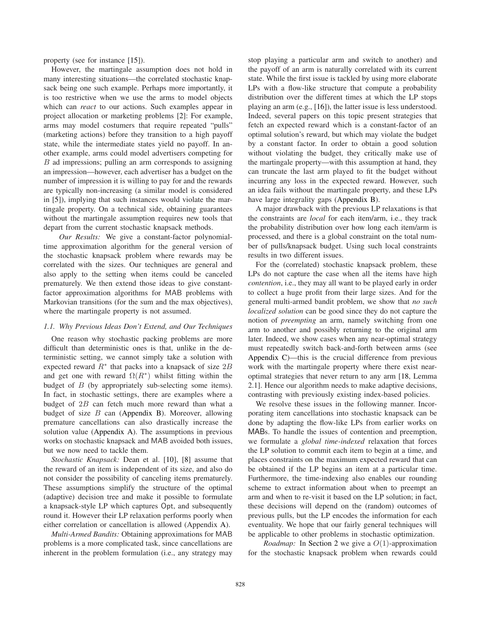property (see for instance [15]).

However, the martingale assumption does not hold in many interesting situations—the correlated stochastic knapsack being one such example. Perhaps more importantly, it is too restrictive when we use the arms to model objects which can *react* to our actions. Such examples appear in project allocation or marketing problems [2]: For example, arms may model costumers that require repeated "pulls" (marketing actions) before they transition to a high payoff state, while the intermediate states yield no payoff. In another example, arms could model advertisers competing for  $B$  ad impressions; pulling an arm corresponds to assigning an impression—however, each advertiser has a budget on the number of impression it is willing to pay for and the rewards are typically non-increasing (a similar model is considered in [5]), implying that such instances would violate the martingale property. On a technical side, obtaining guarantees without the martingale assumption requires new tools that depart from the current stochastic knapsack methods.

*Our Results:* We give a constant-factor polynomialtime approximation algorithm for the general version of the stochastic knapsack problem where rewards may be correlated with the sizes. Our techniques are general and also apply to the setting when items could be canceled prematurely. We then extend those ideas to give constantfactor approximation algorithms for MAB problems with Markovian transitions (for the sum and the max objectives), where the martingale property is not assumed.

## *1.1. Why Previous Ideas Don't Extend, and Our Techniques*

One reason why stochastic packing problems are more difficult than deterministic ones is that, unlike in the deterministic setting, we cannot simply take a solution with expected reward  $R^*$  that packs into a knapsack of size  $2B$ and get one with reward  $\Omega(R^*)$  whilst fitting within the budget of B (by appropriately sub-selecting some items). In fact, in stochastic settings, there are examples where a budget of 2B can fetch much more reward than what a budget of size  $B$  can (Appendix B). Moreover, allowing premature cancellations can also drastically increase the solution value (Appendix A). The assumptions in previous works on stochastic knapsack and MAB avoided both issues, but we now need to tackle them.

*Stochastic Knapsack:* Dean et al. [10], [8] assume that the reward of an item is independent of its size, and also do not consider the possibility of canceling items prematurely. These assumptions simplify the structure of the optimal (adaptive) decision tree and make it possible to formulate a knapsack-style LP which captures Opt, and subsequently round it. However their LP relaxation performs poorly when either correlation or cancellation is allowed (Appendix A).

*Multi-Armed Bandits:* Obtaining approximations for MAB problems is a more complicated task, since cancellations are inherent in the problem formulation (i.e., any strategy may stop playing a particular arm and switch to another) and the payoff of an arm is naturally correlated with its current state. While the first issue is tackled by using more elaborate LPs with a flow-like structure that compute a probability distribution over the different times at which the LP stops playing an arm (e.g., [16]), the latter issue is less understood. Indeed, several papers on this topic present strategies that fetch an expected reward which is a constant-factor of an optimal solution's reward, but which may violate the budget by a constant factor. In order to obtain a good solution without violating the budget, they critically make use of the martingale property—with this assumption at hand, they can truncate the last arm played to fit the budget without incurring any loss in the expected reward. However, such an idea fails without the martingale property, and these LPs have large integrality gaps (Appendix B).

A major drawback with the previous LP relaxations is that the constraints are *local* for each item/arm, i.e., they track the probability distribution over how long each item/arm is processed, and there is a global constraint on the total number of pulls/knapsack budget. Using such local constraints results in two different issues.

For the (correlated) stochastic knapsack problem, these LPs do not capture the case when all the items have high *contention*, i.e., they may all want to be played early in order to collect a huge profit from their large sizes. And for the general multi-armed bandit problem, we show that *no such localized solution* can be good since they do not capture the notion of *preempting* an arm, namely switching from one arm to another and possibly returning to the original arm later. Indeed, we show cases when any near-optimal strategy must repeatedly switch back-and-forth between arms (see Appendix C)—this is the crucial difference from previous work with the martingale property where there exist nearoptimal strategies that never return to any arm [18, Lemma 2.1]. Hence our algorithm needs to make adaptive decisions, contrasting with previously existing index-based policies.

We resolve these issues in the following manner. Incorporating item cancellations into stochastic knapsack can be done by adapting the flow-like LPs from earlier works on MABs. To handle the issues of contention and preemption, we formulate a *global time-indexed* relaxation that forces the LP solution to commit each item to begin at a time, and places constraints on the maximum expected reward that can be obtained if the LP begins an item at a particular time. Furthermore, the time-indexing also enables our rounding scheme to extract information about when to preempt an arm and when to re-visit it based on the LP solution; in fact, these decisions will depend on the (random) outcomes of previous pulls, but the LP encodes the information for each eventuality. We hope that our fairly general techniques will be applicable to other problems in stochastic optimization.

*Roadmap*: In Section 2 we give a  $O(1)$ -approximation for the stochastic knapsack problem when rewards could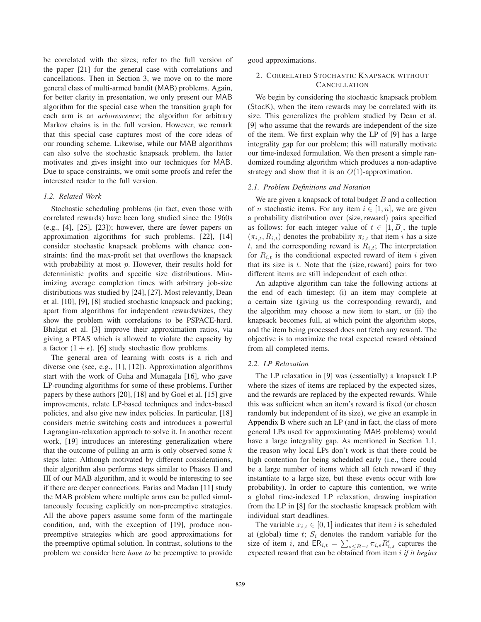be correlated with the sizes; refer to the full version of the paper [21] for the general case with correlations and cancellations. Then in Section 3, we move on to the more general class of multi-armed bandit (MAB) problems. Again, for better clarity in presentation, we only present our MAB algorithm for the special case when the transition graph for each arm is an *arborescence*; the algorithm for arbitrary Markov chains is in the full version. However, we remark that this special case captures most of the core ideas of our rounding scheme. Likewise, while our MAB algorithms can also solve the stochastic knapsack problem, the latter motivates and gives insight into our techniques for MAB. Due to space constraints, we omit some proofs and refer the interested reader to the full version.

## *1.2. Related Work*

Stochastic scheduling problems (in fact, even those with correlated rewards) have been long studied since the 1960s (e.g., [4], [25], [23]); however, there are fewer papers on approximation algorithms for such problems. [22], [14] consider stochastic knapsack problems with chance constraints: find the max-profit set that overflows the knapsack with probability at most *p*. However, their results hold for deterministic profits and specific size distributions. Minimizing average completion times with arbitrary job-size distributions was studied by [24], [27]. Most relevantly, Dean et al. [10], [9], [8] studied stochastic knapsack and packing; apart from algorithms for independent rewards/sizes, they show the problem with correlations to be PSPACE-hard. Bhalgat et al. [3] improve their approximation ratios, via giving a PTAS which is allowed to violate the capacity by a factor  $(1 + \epsilon)$ . [6] study stochastic flow problems.

The general area of learning with costs is a rich and diverse one (see, e.g., [1], [12]). Approximation algorithms start with the work of Guha and Munagala [16], who gave LP-rounding algorithms for some of these problems. Further papers by these authors [20], [18] and by Goel et al. [15] give improvements, relate LP-based techniques and index-based policies, and also give new index policies. In particular, [18] considers metric switching costs and introduces a powerful Lagrangian-relaxation approach to solve it. In another recent work, [19] introduces an interesting generalization where that the outcome of pulling an arm is only observed some  $k$ steps later. Although motivated by different considerations, their algorithm also performs steps similar to Phases II and III of our MAB algorithm, and it would be interesting to see if there are deeper connections. Farias and Madan [11] study the MAB problem where multiple arms can be pulled simultaneously focusing explicitly on non-preemptive strategies. All the above papers assume some form of the martingale condition, and, with the exception of [19], produce nonpreemptive strategies which are good approximations for the preemptive optimal solution. In contrast, solutions to the problem we consider here *have to* be preemptive to provide

good approximations.

# 2. CORRELATED STOCHASTIC KNAPSACK WITHOUT **CANCELLATION**

We begin by considering the stochastic knapsack problem (StocK), when the item rewards may be correlated with its size. This generalizes the problem studied by Dean et al. [9] who assume that the rewards are independent of the size of the item. We first explain why the LP of [9] has a large integrality gap for our problem; this will naturally motivate our time-indexed formulation. We then present a simple randomized rounding algorithm which produces a non-adaptive strategy and show that it is an  $O(1)$ -approximation.

## *2.1. Problem Definitions and Notation*

We are given a knapsack of total budget  $B$  and a collection of *n* stochastic items. For any item  $i \in [1, n]$ , we are given a probability distribution over (size, reward) pairs specified as follows: for each integer value of  $t \in [1, B]$ , the tuple  $(\pi_{i,t}, R_{i,t})$  denotes the probability  $\pi_{i,t}$  that item i has a size t, and the corresponding reward is  $R_{i,t}$ ; The interpretation for  $R_{i,t}$  is the conditional expected reward of item i given that its size is  $t$ . Note that the (size, reward) pairs for two different items are still independent of each other.

An adaptive algorithm can take the following actions at the end of each timestep; (i) an item may complete at a certain size (giving us the corresponding reward), and the algorithm may choose a new item to start, or (ii) the knapsack becomes full, at which point the algorithm stops, and the item being processed does not fetch any reward. The objective is to maximize the total expected reward obtained from all completed items.

## *2.2. LP Relaxation*

The LP relaxation in [9] was (essentially) a knapsack LP where the sizes of items are replaced by the expected sizes, and the rewards are replaced by the expected rewards. While this was sufficient when an item's reward is fixed (or chosen randomly but independent of its size), we give an example in Appendix B where such an LP (and in fact, the class of more general LPs used for approximating MAB problems) would have a large integrality gap. As mentioned in Section 1.1, the reason why local LPs don't work is that there could be high contention for being scheduled early (i.e., there could be a large number of items which all fetch reward if they instantiate to a large size, but these events occur with low probability). In order to capture this contention, we write a global time-indexed LP relaxation, drawing inspiration from the LP in [8] for the stochastic knapsack problem with individual start deadlines.

The variable  $x_{i,t} \in [0,1]$  indicates that item i is scheduled at (global) time  $t$ ;  $S_i$  denotes the random variable for the size of item i, and  $ER_{i,t} = \sum_{s \leq B-t} \pi_{i,s} R'_{i,s}$  captures the expected reward that can be obtained from item i *if it begins*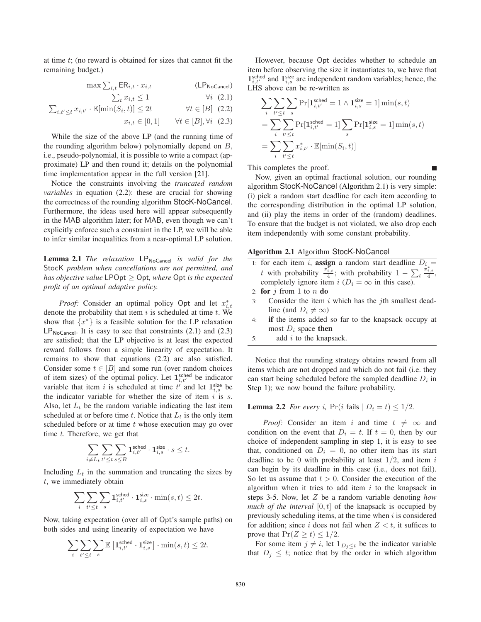at time  $t$ ; (no reward is obtained for sizes that cannot fit the remaining budget.)

$$
\max \sum_{i,t} \textsf{ER}_{i,t} \cdot x_{i,t} \tag{LPNoCcancel}
$$

$$
\sum_{t} x_{i,t} \le 1 \qquad \qquad \forall i \quad (2.1)
$$

$$
\sum_{i,t' \leq t} x_{i,t'} \cdot \mathbb{E}[\min(S_i, t)] \leq 2t \qquad \forall t \in [B] \tag{2.2}
$$

$$
x_{i,t} \in [0,1] \qquad \forall t \in [B], \forall i \quad (2.3)
$$

While the size of the above LP (and the running time of the rounding algorithm below) polynomially depend on B, i.e., pseudo-polynomial, it is possible to write a compact (approximate) LP and then round it; details on the polynomial time implementation appear in the full version [21].

Notice the constraints involving the *truncated random variables* in equation (2.2): these are crucial for showing the correctness of the rounding algorithm StocK-NoCancel. Furthermore, the ideas used here will appear subsequently in the MAB algorithm later; for MAB, even though we can't explicitly enforce such a constraint in the LP, we will be able to infer similar inequalities from a near-optimal LP solution.

Lemma 2.1 *The relaxation* LP<sub>NoCancel</sub> *is valid for the* StocK *problem when cancellations are not permitted, and has objective value* LPOpt ≥ Opt*, where* Opt *is the expected profit of an optimal adaptive policy.*

*Proof:* Consider an optimal policy Opt and let  $x_{i,t}^*$ denote the probability that item  $i$  is scheduled at time  $t$ . We show that  $\{x^*\}$  is a feasible solution for the LP relaxation  $LP_{NoCancel}$ . It is easy to see that constraints  $(2.1)$  and  $(2.3)$ are satisfied; that the LP objective is at least the expected reward follows from a simple linearity of expectation. It remains to show that equations (2.2) are also satisfied. Consider some  $t \in [B]$  and some run (over random choices of item sizes) of the optimal policy. Let  $\mathbf{1}_{i,t'}^{\text{sched}}$  be indicator variable that item i is scheduled at time  $t^{i'}$  and let  $\mathbf{1}_{i,s}^{\text{size}}$  be the indicator variable for whether the size of item  $i$  is  $s$ . Also, let  $L_t$  be the random variable indicating the last item scheduled at or before time t. Notice that  $L_t$  is the only item scheduled before or at time t whose execution may go over time  $t$ . Therefore, we get that

$$
\sum_{i\neq L_t}\sum_{t'\leq t}\sum_{s\leq B} \mathbf{1}_{i,t'}^{\mathsf{sched}}\cdot \mathbf{1}_{i,s}^{\mathsf{size}}\cdot s\leq t.
$$

Including  $L_t$  in the summation and truncating the sizes by t, we immediately obtain

$$
\sum_i \sum_{t' \leq t} \sum_s \mathbf{1}^\text{sched}_{i,t'} \cdot \mathbf{1}^\text{size}_{i,s} \cdot \min(s,t) \leq 2t.
$$

Now, taking expectation (over all of Opt's sample paths) on both sides and using linearity of expectation we have

$$
\sum_{i} \sum_{t' \le t} \sum_{s} \mathbb{E} \left[ \mathbf{1}_{i,t'}^{\text{sched}} \cdot \mathbf{1}_{i,s}^{\text{size}} \right] \cdot \min(s,t) \le 2t.
$$

However, because Opt decides whether to schedule an item before observing the size it instantiates to, we have that  $\mathbf{1}_{i,t'}^{\text{sched}}$  and  $\mathbf{1}_{i,s}^{\text{size}}$  are independent random variables; hence, the LHS above can be re-written as

$$
\sum_{i} \sum_{t' \leq t} \sum_{s} \Pr[\mathbf{1}_{i,t'}^{\text{sched}} = 1 \land \mathbf{1}_{i,s}^{\text{size}} = 1] \min(s, t)
$$

$$
= \sum_{i} \sum_{t' \leq t} \Pr[\mathbf{1}_{i,t'}^{\text{sched}} = 1] \sum_{s} \Pr[\mathbf{1}_{i,s}^{\text{size}} = 1] \min(s, t)
$$

$$
= \sum_{i} \sum_{t' \leq t} x_{i,t'}^* \cdot \mathbb{E}[\min(S_i, t)]
$$

This completes the proof.

Now, given an optimal fractional solution, our rounding algorithm StocK-NoCancel (Algorithm 2.1) is very simple: (i) pick a random start deadline for each item according to the corresponding distribution in the optimal LP solution, and (ii) play the items in order of the (random) deadlines. To ensure that the budget is not violated, we also drop each item independently with some constant probability.

## **Algorithm 2.1** Algorithm StocK-NoCancel

- 1: for each item *i*, **assign** a random start deadline  $D_i$  = t with probability  $\frac{x_{i,t}^*}{4}$ ; with probability  $1 - \sum_t$  $\frac{x_{i,t}^*}{4},$ completely ignore item  $i$  ( $D_i = \infty$  in this case).
- 2: **for**  $j$  from 1 to  $n$  **do**
- 3: Consider the item  $i$  which has the  $j$ th smallest deadline (and  $D_i \neq \infty$ )
- 4: **if** the items added so far to the knapsack occupy at most  $D_i$  space **then**
- 5: add  $i$  to the knapsack.

Notice that the rounding strategy obtains reward from all items which are not dropped and which do not fail (i.e. they can start being scheduled before the sampled deadline  $D_i$  in Step 1); we now bound the failure probability.

# **Lemma 2.2** *For every i*,  $Pr(i \text{ fails} | D_i = t) \leq 1/2$ *.*

*Proof:* Consider an item i and time  $t \neq \infty$  and condition on the event that  $D_i = t$ . If  $t = 0$ , then by our choice of independent sampling in step 1, it is easy to see that, conditioned on  $D_i = 0$ , no other item has its start deadline to be 0 with probability at least  $1/2$ , and item i can begin by its deadline in this case (i.e., does not fail). So let us assume that  $t > 0$ . Consider the execution of the algorithm when it tries to add item  $i$  to the knapsack in steps 3-5. Now, let Z be a random variable denoting *how much of the interval*  $[0, t]$  of the knapsack is occupied by previously scheduling items, at the time when  $i$  is considered for addition; since i does not fail when  $Z \leq t$ , it suffices to prove that  $Pr(Z \ge t) \le 1/2$ .

For some item  $j \neq i$ , let  $\mathbf{1}_{D_j \leq t}$  be the indicator variable that  $D_j \leq t$ ; notice that by the order in which algorithm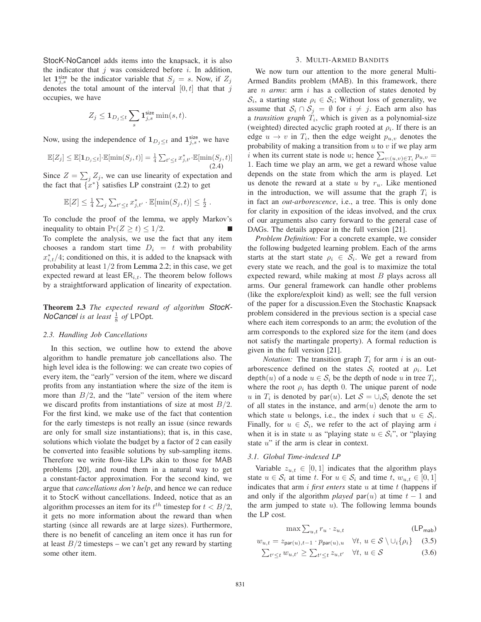StocK-NoCancel adds items into the knapsack, it is also the indicator that  $j$  was considered before  $i$ . In addition, let  $1^{size}_{j,s}$  be the indicator variable that  $S_j = s$ . Now, if  $Z_j$ denotes the total amount of the interval  $[0, t]$  that that j occupies, we have

$$
Z_j \leq \mathbf{1}_{D_j \leq t} \sum_s \mathbf{1}_{j,s}^{\text{size}} \min(s,t).
$$

Now, using the independence of  $\mathbf{1}_{D_j \leq t}$  and  $\mathbf{1}_{j,s}^{\text{size}}$ , we have

$$
\mathbb{E}[Z_j] \le \mathbb{E}[\mathbf{1}_{D_j \le t}] \cdot \mathbb{E}[\min(S_j, t)] = \frac{1}{4} \sum_{t' \le t} x_{j, t'}^* \cdot \mathbb{E}[\min(S_j, t)]
$$
\n(2.4)

Since  $Z = \sum_j Z_j$ , we can use linearity of expectation and the fact that  $\{x^*\}$  satisfies LP constraint (2.2) to get

$$
\mathbb{E}[Z] \leq \frac{1}{4} \sum_j \sum_{t' \leq t} x^*_{j,t'} \cdot \mathbb{E}[\min(S_j, t)] \leq \frac{t}{2} .
$$

To conclude the proof of the lemma, we apply Markov's inequality to obtain  $Pr(Z \ge t) \le 1/2$ . To complete the analysis, we use the fact that any item chooses a random start time  $D_i = t$  with probability  $x_{i,t}^*/4$ ; conditioned on this, it is added to the knapsack with probability at least  $1/2$  from Lemma 2.2; in this case, we get expected reward at least  $ER_{i,t}$ . The theorem below follows by a straightforward application of linearity of expectation.

**Theorem 2.3** *The expected reward of algorithm* StocK-*NoCancel is at least*  $\frac{1}{8}$  *of* LPOpt.

#### *2.3. Handling Job Cancellations*

In this section, we outline how to extend the above algorithm to handle premature job cancellations also. The high level idea is the following: we can create two copies of every item, the "early" version of the item, where we discard profits from any instantiation where the size of the item is more than  $B/2$ , and the "late" version of the item where we discard profits from instantiations of size at most  $B/2$ . For the first kind, we make use of the fact that contention for the early timesteps is not really an issue (since rewards are only for small size instantiations); that is, in this case, solutions which violate the budget by a factor of 2 can easily be converted into feasible solutions by sub-sampling items. Therefore we write flow-like LPs akin to those for MAB problems [20], and round them in a natural way to get a constant-factor approximation. For the second kind, we argue that *cancellations don't help*, and hence we can reduce it to StocK without cancellations. Indeed, notice that as an algorithm processes an item for its  $t^{th}$  timestep for  $t < B/2$ , it gets no more information about the reward than when starting (since all rewards are at large sizes). Furthermore, there is no benefit of canceling an item once it has run for at least  $B/2$  timesteps – we can't get any reward by starting some other item.

## 3. MULTI-ARMED BANDITS

We now turn our attention to the more general Multi-Armed Bandits problem (MAB). In this framework, there are n *arms*: arm i has a collection of states denoted by  $S_i$ , a starting state  $\rho_i \in S_i$ ; Without loss of generality, we assume that  $S_i \cap S_j = \emptyset$  for  $i \neq j$ . Each arm also has a *transition graph*  $T_i$ , which is given as a polynomial-size (weighted) directed acyclic graph rooted at  $\rho_i$ . If there is an edge  $u \to v$  in  $T_i$ , then the edge weight  $p_{u,v}$  denotes the probability of making a transition from  $u$  to  $v$  if we play arm i when its current state is node u; hence  $\sum_{v:(u,v)\in T_i} p_{u,v} =$ 1. Each time we play an arm, we get a reward whose value depends on the state from which the arm is played. Let us denote the reward at a state  $u$  by  $r_u$ . Like mentioned in the introduction, we will assume that the graph  $T_i$  is in fact an *out-arborescence*, i.e., a tree. This is only done for clarity in exposition of the ideas involved, and the crux of our arguments also carry forward to the general case of DAGs. The details appear in the full version [21].

*Problem Definition:* For a concrete example, we consider the following budgeted learning problem. Each of the arms starts at the start state  $\rho_i \in S_i$ . We get a reward from every state we reach, and the goal is to maximize the total expected reward, while making at most  $B$  plays across all arms. Our general framework can handle other problems (like the explore/exploit kind) as well; see the full version of the paper for a discussion.Even the Stochastic Knapsack problem considered in the previous section is a special case where each item corresponds to an arm; the evolution of the arm corresponds to the explored size for the item (and does not satisfy the martingale property). A formal reduction is given in the full version [21].

*Notation:* The transition graph  $T_i$  for arm i is an outarborescence defined on the states  $S_i$  rooted at  $\rho_i$ . Let depth $(u)$  of a node  $u \in S_i$  be the depth of node u in tree  $T_i$ , where the root  $\rho_i$  has depth 0. The unique parent of node u in  $T_i$  is denoted by par(u). Let  $S = \bigcup_i S_i$  denote the set of all states in the instance, and  $arm(u)$  denote the arm to which state u belongs, i.e., the index i such that  $u \in S_i$ . Finally, for  $u \in S_i$ , we refer to the act of playing arm i when it is in state u as "playing state  $u \in S_i$ ", or "playing" state  $u$ " if the arm is clear in context.

## *3.1. Global Time-indexed LP*

Variable  $z_{u,t} \in [0,1]$  indicates that the algorithm plays state  $u \in \mathcal{S}_i$  at time t. For  $u \in \mathcal{S}_i$  and time t,  $w_{u,t} \in [0,1]$ indicates that arm  $i$  *first enters* state  $u$  at time  $t$  (happens if and only if the algorithm *played* par $(u)$  at time  $t - 1$  and the arm jumped to state  $u$ ). The following lemma bounds the LP cost.

$$
\max \sum_{u,t} r_u \cdot z_{u,t} \tag{LPmab}
$$

$$
w_{u,t} = z_{\text{par}(u),t-1} \cdot p_{\text{par}(u),u} \quad \forall t, \ u \in \mathcal{S} \setminus \cup_i \{ \rho_i \} \quad (3.5)
$$

$$
\sum_{t' \leq t} w_{u,t'} \geq \sum_{t' \leq t} z_{u,t'} \quad \forall t, u \in \mathcal{S}
$$
\n(3.6)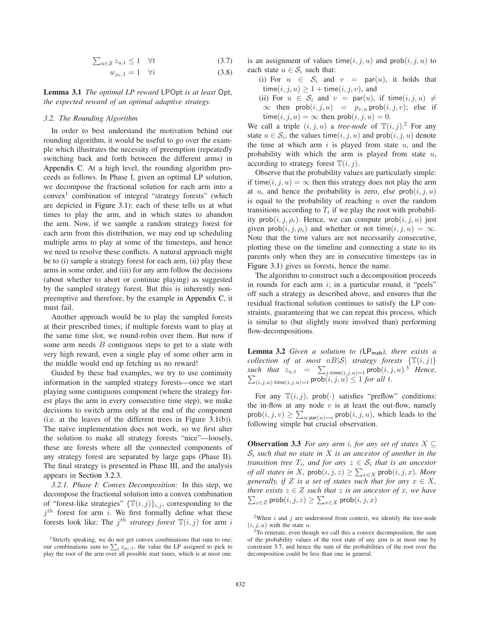$$
\sum_{u \in \mathcal{S}} z_{u,t} \le 1 \quad \forall t \tag{3.7}
$$

$$
w_{\rho_i,1} = 1 \quad \forall i \tag{3.8}
$$

**Lemma 3.1** *The optimal LP reward* LPOpt *is at least* Opt*, the expected reward of an optimal adaptive strategy.*

# *3.2. The Rounding Algorithm*

In order to best understand the motivation behind our rounding algorithm, it would be useful to go over the example which illustrates the necessity of preemption (repeatedly switching back and forth between the different arms) in Appendix C. At a high level, the rounding algorithm proceeds as follows. In Phase I, given an optimal LP solution, we decompose the fractional solution for each arm into a convex<sup>1</sup> combination of integral "strategy forests" (which are depicted in Figure 3.1): each of these tells us at what times to play the arm, and in which states to abandon the arm. Now, if we sample a random strategy forest for each arm from this distribution, we may end up scheduling multiple arms to play at some of the timesteps, and hence we need to resolve these conflicts. A natural approach might be to (i) sample a strategy forest for each arm, (ii) play these arms in some order, and (iii) for any arm follow the decisions (about whether to abort or continue playing) as suggested by the sampled strategy forest. But this is inherently nonpreemptive and therefore, by the example in Appendix C, it must fail.

Another approach would be to play the sampled forests at their prescribed times; if multiple forests want to play at the same time slot, we round-robin over them. But now if some arm needs  $B$  contiguous steps to get to a state with very high reward, even a single play of some other arm in the middle would end up fetching us no reward!

Guided by these bad examples, we try to use continuity information in the sampled strategy forests—once we start playing some contiguous component (where the strategy forest plays the arm in every consecutive time step), we make decisions to switch arms only at the end of the component (i.e. at the leaves of the different trees in Figure 3.1(b)). The naïve implementation does not work, so we first alter the solution to make all strategy forests "nice"—loosely, these are forests where all the connected components of any strategy forest are separated by large gaps (Phase II). The final strategy is presented in Phase III, and the analysis appears in Section 3.2.3.

*3.2.1. Phase I: Convex Decomposition:* In this step, we decompose the fractional solution into a convex combination of "forest-like strategies"  $\{\mathbb{T}(i,j)\}_{i,j}$ , corresponding to the  $j<sup>th</sup>$  forest for arm i. We first formally define what these forests look like: The  $j^{th}$  *strategy forest*  $\mathbb{T}(i, j)$  for arm i is an assignment of values time( $i, j, u$ ) and  $prob(i, j, u)$  to each state  $u \in S_i$  such that:

(i) For  $u \in S_i$  and  $v = \text{par}(u)$ , it holds that time(i, j, u)  $\geq 1 +$  time(i, j, v), and

(ii) For  $u \in S_i$  and  $v = \text{par}(u)$ , if time $(i, j, u) \neq$  $\infty$  then prob $(i, j, u) = p_{v, u}$  prob $(i, j, v)$ ; else if time(*i*, *j*, *u*) =  $\infty$  then prob(*i*, *j*, *u*) = 0.

We call a triple  $(i, j, u)$  a *tree-node* of  $\mathbb{T}(i, j)$ .<sup>2</sup> For any state  $u \in S_i$ , the values time $(i, j, u)$  and prob $(i, j, u)$  denote the time at which arm  $i$  is played from state  $u$ , and the probability with which the arm is played from state  $u$ , according to strategy forest  $\mathbb{T}(i, j)$ .

Observe that the probability values are particularly simple: if time(i, j, u) =  $\infty$  then this strategy does not play the arm at u, and hence the probability is zero, else  $prob(i, j, u)$ is equal to the probability of reaching  $u$  over the random transitions according to  $T_i$  if we play the root with probability prob $(i, j, \rho_i)$ . Hence, we can compute prob $(i, j, u)$  just given prob $(i, j, \rho_i)$  and whether or not time $(i, j, u) = \infty$ . Note that the time values are not necessarily consecutive, plotting these on the timeline and connecting a state to its parents only when they are in consecutive timesteps (as in Figure 3.1) gives us forests, hence the name.

The algorithm to construct such a decomposition proceeds in rounds for each arm  $i$ ; in a particular round, it "peels" off such a strategy as described above, and ensures that the residual fractional solution continues to satisfy the LP constraints, guaranteeing that we can repeat this process, which is similar to (but slightly more involved than) performing flow-decompositions.

**Lemma 3.2** *Given a solution to (*LPmab*), there exists a collection of at most nB|S| strategy forests*  $\{T(i, j)\}$ such that  $z_{u,t} = \sum_{j:\text{time}(i,j,u)=t} \text{prob}(i,j,u).^3$  $\sum$ *Hence,*  $(i,j,u):$ time $(i,j,u)$ <sub> $=t$ </sub> prob $(i,j,u) \leq 1$  *for all t*.

For any  $\mathbb{T}(i, j)$ , prob( $\cdot$ ) satisfies "preflow" conditions: the in-flow at any node  $v$  is at least the out-flow, namely  $\text{prob}(i, j, v) \ge \sum_{u : \text{par}(u) = v} \text{prob}(i, j, u)$ , which leads to the following simple but crucial observation.

**Observation 3.3** *For any arm i, for any set of states*  $X \subseteq$ S<sup>i</sup> *such that no state in* X *is an ancestor of another in the transition tree*  $T_i$ *, and for any*  $z \in \mathcal{S}_i$  *that is an ancestor of all states in* X,  $\text{prob}(i, j, z) \ge \sum_{x \in X} \text{prob}(i, j, x)$ *. More generally, if*  $Z$  *is a set of states such that for any*  $x \in X$ *, there exists*  $z \in Z$  *such that*  $z$  *is an ancestor of*  $x$ *, we have*  $\sum_{z \in Z}$  *prob* $(i, j, z) \ge \sum_{x \in X}$  *prob* $(i, j, x)$  $\zeta_{z\in Z}$  prob $(i,j,z)\geq \sum_{x\in X} \mathsf{prob}(i,j,x)$ 

<sup>&</sup>lt;sup>1</sup>Strictly speaking, we do not get convex combinations that sum to one; our combinations sum to  $\sum_t z_{\rho_i,t}$ , the value the LP assigned to pick to play the root of the arm over all possible start times, which is at most one.

<sup>&</sup>lt;sup>2</sup>When *i* and *j* are understood from context, we identify the tree-node  $(i, j, u)$  with the state u.

<sup>&</sup>lt;sup>3</sup>To reiterate, even though we call this a convex decomposition, the sum of the probability values of the root state of any arm is at most one by constraint 3.7, and hence the sum of the probabilities of the root over the decomposition could be less than one in general.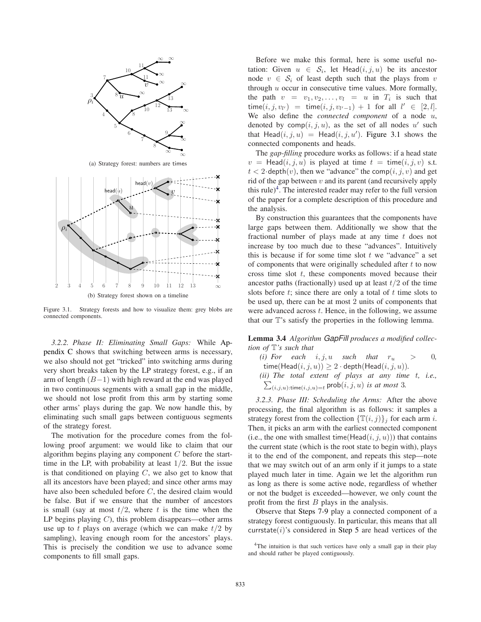

(b) Strategy forest shown on a timeline

Figure 3.1. Strategy forests and how to visualize them: grey blobs are connected components.

*3.2.2. Phase II: Eliminating Small Gaps:* While Appendix C shows that switching between arms is necessary, we also should not get "tricked" into switching arms during very short breaks taken by the LP strategy forest, e.g., if an arm of length  $(B-1)$  with high reward at the end was played in two continuous segments with a small gap in the middle, we should not lose profit from this arm by starting some other arms' plays during the gap. We now handle this, by eliminating such small gaps between contiguous segments of the strategy forest.

The motivation for the procedure comes from the following proof argument: we would like to claim that our algorithm begins playing any component  $C$  before the starttime in the LP, with probability at least  $1/2$ . But the issue is that conditioned on playing  $C$ , we also get to know that all its ancestors have been played; and since other arms may have also been scheduled before C, the desired claim would be false. But if we ensure that the number of ancestors is small (say at most  $t/2$ , where t is the time when the LP begins playing  $C$ ), this problem disappears—other arms use up to t plays on average (which we can make  $t/2$  by sampling), leaving enough room for the ancestors' plays. This is precisely the condition we use to advance some components to fill small gaps.

Before we make this formal, here is some useful notation: Given  $u \in S_i$ , let Head $(i, j, u)$  be its ancestor node  $v \in S_i$  of least depth such that the plays from v through  $u$  occur in consecutive time values. More formally, the path  $v = v_1, v_2, \dots, v_l = u$  in  $T_i$  is such that  $time(i, j, v_{l'}) = time(i, j, v_{l'-1}) + 1$  for all  $l' \in [2, l].$ We also define the *connected component* of a node u, denoted by  $comp(i, j, u)$ , as the set of all nodes u' such that  $Head(i, j, u) = Head(i, j, u')$ . Figure 3.1 shows the connected components and heads.

The *gap-filling* procedure works as follows: if a head state  $v = \text{Head}(i, j, u)$  is played at time  $t = \text{time}(i, j, v)$  s.t.  $t < 2$ ·depth $(v)$ , then we "advance" the comp $(i, j, v)$  and get rid of the gap between  $v$  and its parent (and recursively apply this rule)<sup>4</sup>. The interested reader may refer to the full version of the paper for a complete description of this procedure and the analysis.

By construction this guarantees that the components have large gaps between them. Additionally we show that the fractional number of plays made at any time  $t$  does not increase by too much due to these "advances". Intuitively this is because if for some time slot  $t$  we "advance" a set of components that were originally scheduled after  $t$  to now cross time slot  $t$ , these components moved because their ancestor paths (fractionally) used up at least  $t/2$  of the time slots before  $t$ ; since there are only a total of  $t$  time slots to be used up, there can be at most 2 units of components that were advanced across  $t$ . Hence, in the following, we assume that our T's satisfy the properties in the following lemma.

**Lemma 3.4** *Algorithm* GapFill *produces a modified collection of* T*'s such that*

*(i)* For each  $i, j, u$  such that  $r_u > 0$ , time( $\textsf{Head}(i, j, u)$ )  $\geq 2 \cdot \textsf{depth}(\textsf{Head}(i, j, u))$ *. (ii) The total extent of plays at any time* t*, i.e.,*  $\sum_{(i,j,u): \text{time}(i,j,u)=t} \text{prob}(i,j,u)$  *is at most* 3*.* 

*3.2.3. Phase III: Scheduling the Arms:* After the above processing, the final algorithm is as follows: it samples a strategy forest from the collection  $\{\mathbb{T}(i, j)\}_j$  for each arm *i*. Then, it picks an arm with the earliest connected component (i.e., the one with smallest time(Head $(i, j, u)$ )) that contains the current state (which is the root state to begin with), plays it to the end of the component, and repeats this step—note that we may switch out of an arm only if it jumps to a state played much later in time. Again we let the algorithm run as long as there is some active node, regardless of whether or not the budget is exceeded—however, we only count the profit from the first  $B$  plays in the analysis.

Observe that Steps 7-9 play a connected component of a strategy forest contiguously. In particular, this means that all currstate $(i)$ 's considered in Step 5 are head vertices of the

<sup>&</sup>lt;sup>4</sup>The intuition is that such vertices have only a small gap in their play and should rather be played contiguously.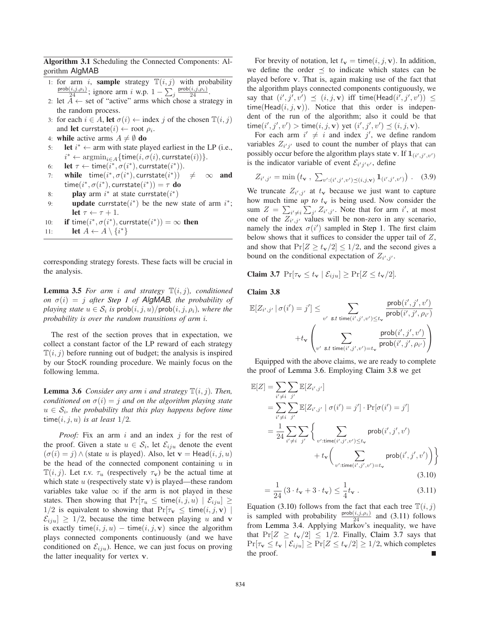**Algorithm 3.1** Scheduling the Connected Components: Algorithm AlgMAB

- 1: for arm i, **sample** strategy  $\mathbb{T}(i, j)$  with probability  $\frac{\text{prob}(i,j,\rho_i)}{24}$ ; ignore arm i w.p.  $1 - \sum_j \frac{\text{prob}(i,j,\rho_i)}{24}$ .
- 2: let  $A \leftarrow$  set of "active" arms which chose a strategy in the random process.
- 3: for each  $i \in A$ , **let**  $\sigma(i) \leftarrow \text{index } j$  of the chosen  $\mathbb{T}(i, j)$ and **let** currstate $(i) \leftarrow$  root  $\rho_i$ .
- 4: **while** active arms  $A \neq \emptyset$  **do**
- 5: **let**  $i^* \leftarrow$  arm with state played earliest in the LP (i.e.,  $i^* \leftarrow \text{argmin}_{i \in A} \{ \text{time}(i, \sigma(i), \text{currentate}(i)) \}.$
- 6: **let**  $\tau \leftarrow \text{time}(i^*, \sigma(i^*), \text{currentate}(i^*)).$
- 7: **while**  $time(i^*, \sigma(i^*),$  currstate $(i^*)$  $\neq \infty$  and  $time(i^*, \sigma(i^*), \text{currstate}(i^*)) = \tau \textbf{ do}$
- 8: **play** arm  $i^*$  at state currstate $(i^*)$
- 9: **update** currstate( $i^*$ ) be the new state of arm  $i^*$ ; **let**  $\tau \leftarrow \tau + 1$ .
- 10: **if** time( $i^*, \sigma(i^*)$ , currstate( $i^*$ )) =  $\infty$  then
- 11: **let**  $A \leftarrow A \setminus \{i^*\}$

corresponding strategy forests. These facts will be crucial in the analysis.

**Lemma 3.5** *For arm i and strategy*  $\mathbb{T}(i, j)$ *, conditioned on*  $\sigma(i) = j$  *after Step 1 of AlgMAB, the probability of playing state*  $u \in \mathcal{S}_i$  *is*  $prob(i, j, u)/prob(i, j, \rho_i)$ *, where the probability is over the random transitions of arm* i*.*

The rest of the section proves that in expectation, we collect a constant factor of the LP reward of each strategy  $\mathbb{T}(i, j)$  before running out of budget; the analysis is inspired by our StocK rounding procedure. We mainly focus on the following lemma.

**Lemma 3.6** *Consider any arm i and strategy*  $\mathbb{T}(i, j)$ *. Then, conditioned on*  $\sigma(i) = j$  *and on the algorithm playing state*  $u \in \mathcal{S}_i$ , the probability that this play happens before time time $(i, j, u)$  *is at least*  $1/2$ *.* 

*Proof:* Fix an arm i and an index j for the rest of the proof. Given a state  $u \in S_i$ , let  $\mathcal{E}_{iju}$  denote the event  $(\sigma(i) = j) \wedge$  (state u is played). Also, let **v** = Head $(i, j, u)$ be the head of the connected component containing  $u$  in  $\mathbb{T}(i, j)$ . Let r.v.  $\tau_u$  (respectively  $\tau_v$ ) be the actual time at which state  $u$  (respectively state v) is played—these random variables take value  $\infty$  if the arm is not played in these states. Then showing that  $Pr[\tau_u \leq \text{time}(i, j, u) | \mathcal{E}_{iju}] \geq$  $1/2$  is equivalent to showing that  $Pr[\tau_{\mathbf{v}} \leq \text{time}(i, j, \mathbf{v})]$  $\mathcal{E}_{i j u}$   $\geq 1/2$ , because the time between playing u and v is exactly time $(i, j, u)$  – time $(i, j, v)$  since the algorithm plays connected components continuously (and we have conditioned on  $\mathcal{E}_{iju}$ ). Hence, we can just focus on proving the latter inequality for vertex v.

For brevity of notation, let  $t_{\mathbf{v}} = \text{time}(i, j, \mathbf{v})$ . In addition, we define the order  $\prec$  to indicate which states can be played before v. That is, again making use of the fact that the algorithm plays connected components contiguously, we say that  $(i', j', v') \preceq (i, j, \mathbf{v})$  iff time(Head $(i', j', v')$ )  $\leq$ time(Head $(i, j, v)$ ). Notice that this order is independent of the run of the algorithm; also it could be that  $time(i', j', v') > time(i, j, v)$  yet  $(i', j', v') \preceq (i, j, v)$ .

For each arm  $i' \neq i$  and index j', we define random variables  $Z_{i'j'}$  used to count the number of plays that can possibly occur before the algorithm plays state v. If  $\mathbf{1}_{(i',j',v')}$ is the indicator variable of event  $\mathcal{E}_{i'j'v'}$ , define

$$
Z_{i',j'} = \min (t_{\mathbf{v}} , \sum_{v':(i',j',v') \preceq (i,j,\mathbf{v})} \mathbf{1}_{(i',j',v')}) . \quad (3.9)
$$

We truncate  $Z_{i',j'}$  at  $t_{\mathbf{v}}$  because we just want to capture how much time *up to*  $t_v$  is being used. Now consider the sum  $Z = \sum_{i' \neq i} \sum_{j'} Z_{i',j'}$ . Note that for arm i', at most one of the  $Z_{i',j'}$  values will be non-zero in any scenario, namely the index  $\sigma(i')$  sampled in Step 1. The first claim below shows that it suffices to consider the upper tail of Z, and show that  $Pr[Z \ge t_v/2] \le 1/2$ , and the second gives a bound on the conditional expectation of  $Z_{i',j'}$ .

$$
Claim 3.7 \ \Pr[\tau_{\mathbf{v}} \le t_{\mathbf{v}} \mid \mathcal{E}_{iju}] \ge \Pr[Z \le t_{\mathbf{v}}/2].
$$

#### **Claim 3.8**

$$
\mathbb{E}[Z_{i',j'} | \sigma(i') = j'] \leq \sum_{v' \text{ s.t time}(i',j',v') \leq t_v} \frac{\text{prob}(i',j',v')}{\text{prob}(i',j',\rho_{i'})} + t_v \left( \sum_{v' \text{ s.t time}(i',j',v') = t_v} \frac{\text{prob}(i',j',v')}{\text{prob}(i',j',\rho_{i'})} \right)
$$

Equipped with the above claims, we are ready to complete the proof of Lemma 3.6. Employing Claim 3.8 we get

$$
\mathbb{E}[Z] = \sum_{i' \neq i} \sum_{j'} \mathbb{E}[Z_{i',j'}]
$$
\n
$$
= \sum_{i' \neq i} \sum_{j'} \mathbb{E}[Z_{i',j'} | \sigma(i') = j'] \cdot \Pr[\sigma(i') = j']
$$
\n
$$
= \frac{1}{24} \sum_{i' \neq i} \sum_{j'} \left\{ \sum_{v': \text{time}(i',j',v') \leq t_v} \text{prob}(i',j',v') + t_v \left( \sum_{v': \text{time}(i',j',v') = t_v} \text{prob}(i',j',v') \right) \right\}
$$
\n(3.10)

$$
= \frac{1}{24} (3 \cdot t_{\mathbf{v}} + 3 \cdot t_{\mathbf{v}}) \le \frac{1}{4} t_{\mathbf{v}} . \tag{3.11}
$$

Equation (3.10) follows from the fact that each tree  $\mathbb{T}(i, j)$ is sampled with probability  $\frac{\text{prob}(i,j,\rho_i)}{24}$  and (3.11) follows from Lemma 3.4. Applying Markov's inequality, we have that  $Pr[Z \ge t_v/2] \le 1/2$ . Finally, Claim 3.7 says that  $Pr[\tau_{\mathbf{v}} \le t_{\mathbf{v}} | \mathcal{E}_{iju}] \ge Pr[Z \le t_{\mathbf{v}}/2] \ge 1/2$ , which completes the proof.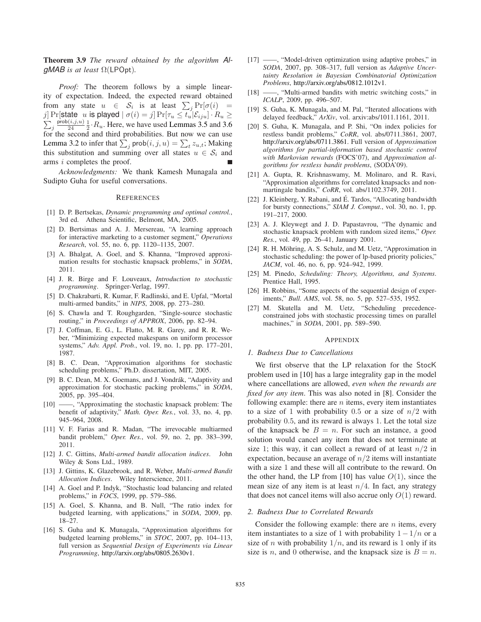**Theorem 3.9** *The reward obtained by the algorithm* Al $gMAB$  *is at least*  $\Omega$ (LPOpt).

*Proof:* The theorem follows by a simple linearity of expectation. Indeed, the expected reward obtained from any state  $u \in S_i$  is at least  $\sum_j \Pr[\sigma(i)] =$ j] Pr[state u is played  $\vert \sigma(i) = j \vert Pr[\tau_u \leq t_u \vert \mathcal{E}_{iju}] \cdot R_u \geq 0$  $\sum_j \frac{\mathsf{prob}(i,j,u)}{24}$  $\frac{(i,j,u)}{24}$   $\frac{1}{2}$   $\cdot$   $R_u$ . Here, we have used Lemmas 3.5 and 3.6 for the second and third probabilities. But now we can use Lemma 3.2 to infer that  $\sum_j \text{prob}(i, j, u) = \sum_t z_{u,t}$ ; Making this substitution and summing over all states  $u \in S_i$  and arms i completes the proof.

*Acknowledgments:* We thank Kamesh Munagala and Sudipto Guha for useful conversations.

#### **REFERENCES**

- [1] D. P. Bertsekas, *Dynamic programming and optimal control.*, 3rd ed. Athena Scientific, Belmont, MA, 2005.
- [2] D. Bertsimas and A. J. Mersereau, "A learning approach for interactive marketing to a customer segment," *Operations Research*, vol. 55, no. 6, pp. 1120–1135, 2007.
- [3] A. Bhalgat, A. Goel, and S. Khanna, "Improved approximation results for stochastic knapsack problems," in *SODA*, 2011.
- [4] J. R. Birge and F. Louveaux, *Introduction to stochastic programming*. Springer-Verlag, 1997.
- [5] D. Chakrabarti, R. Kumar, F. Radlinski, and E. Upfal, "Mortal multi-armed bandits," in *NIPS*, 2008, pp. 273–280.
- [6] S. Chawla and T. Roughgarden, "Single-source stochastic routing," in *Proceedings of APPROX*, 2006, pp. 82–94.
- [7] J. Coffman, E. G., L. Flatto, M. R. Garey, and R. R. Weber, "Minimizing expected makespans on uniform processor systems," *Adv. Appl. Prob.*, vol. 19, no. 1, pp. pp. 177–201, 1987.
- [8] B. C. Dean, "Approximation algorithms for stochastic scheduling problems," Ph.D. dissertation, MIT, 2005.
- [9] B. C. Dean, M. X. Goemans, and J. Vondrák, "Adaptivity and approximation for stochastic packing problems," in *SODA*, 2005, pp. 395–404.
- [10] ——, "Approximating the stochastic knapsack problem: The benefit of adaptivity," *Math. Oper. Res.*, vol. 33, no. 4, pp. 945–964, 2008.
- [11] V. F. Farias and R. Madan, "The irrevocable multiarmed bandit problem," *Oper. Res.*, vol. 59, no. 2, pp. 383–399, 2011.
- [12] J. C. Gittins, *Multi-armed bandit allocation indices*. John Wiley & Sons Ltd., 1989.
- [13] J. Gittins, K. Glazebrook, and R. Weber, *Multi-armed Bandit Allocation Indices*. Wiley Interscience, 2011.
- [14] A. Goel and P. Indyk, "Stochastic load balancing and related problems," in *FOCS*, 1999, pp. 579–586.
- [15] A. Goel, S. Khanna, and B. Null, "The ratio index for budgeted learning, with applications," in *SODA*, 2009, pp. 18–27.
- [16] S. Guha and K. Munagala, "Approximation algorithms for budgeted learning problems," in *STOC*, 2007, pp. 104–113, full version as *Sequential Design of Experiments via Linear Programming*, http://arxiv.org/abs/0805.2630v1.
- [17] ——, "Model-driven optimization using adaptive probes," in *SODA*, 2007, pp. 308–317, full version as *Adaptive Uncertainty Resolution in Bayesian Combinatorial Optimization Problems*, http://arxiv.org/abs/0812.1012v1.
- [18] ——, "Multi-armed bandits with metric switching costs," in *ICALP*, 2009, pp. 496–507.
- [19] S. Guha, K. Munagala, and M. Pal, "Iterated allocations with delayed feedback," *ArXiv*, vol. arxiv:abs/1011.1161, 2011.
- [20] S. Guha, K. Munagala, and P. Shi, "On index policies for restless bandit problems," *CoRR*, vol. abs/0711.3861, 2007, http://arxiv.org/abs/0711.3861. Full version of *Approximation algorithms for partial-information based stochastic control with Markovian rewards* (FOCS'07), and *Approximation algorithms for restless bandit problems*, (SODA'09).
- [21] A. Gupta, R. Krishnaswamy, M. Molinaro, and R. Ravi, "Approximation algorithms for correlated knapsacks and nonmartingale bandits," *CoRR*, vol. abs/1102.3749, 2011.
- [22] J. Kleinberg, Y. Rabani, and É. Tardos, "Allocating bandwidth" for bursty connections," *SIAM J. Comput.*, vol. 30, no. 1, pp. 191–217, 2000.
- [23] A. J. Kleywegt and J. D. Papastavrou, "The dynamic and stochastic knapsack problem with random sized items," *Oper. Res.*, vol. 49, pp. 26–41, January 2001.
- [24] R. H. Möhring, A. S. Schulz, and M. Uetz, "Approximation in stochastic scheduling: the power of lp-based priority policies," *JACM*, vol. 46, no. 6, pp. 924–942, 1999.
- [25] M. Pinedo, *Scheduling: Theory, Algorithms, and Systems*. Prentice Hall, 1995.
- [26] H. Robbins, "Some aspects of the sequential design of experiments," *Bull. AMS*, vol. 58, no. 5, pp. 527–535, 1952.
- [27] M. Skutella and M. Uetz, "Scheduling precedenceconstrained jobs with stochastic processing times on parallel machines," in *SODA*, 2001, pp. 589–590.

#### APPENDIX

## *1. Badness Due to Cancellations*

We first observe that the LP relaxation for the StocK problem used in [10] has a large integrality gap in the model where cancellations are allowed, *even when the rewards are fixed for any item*. This was also noted in [8]. Consider the following example: there are  $n$  items, every item instantiates to a size of 1 with probability 0.5 or a size of  $n/2$  with probability 0.5, and its reward is always 1. Let the total size of the knapsack be  $B = n$ . For such an instance, a good solution would cancel any item that does not terminate at size 1; this way, it can collect a reward of at least  $n/2$  in expectation, because an average of  $n/2$  items will instantiate with a size 1 and these will all contribute to the reward. On the other hand, the LP from [10] has value  $O(1)$ , since the mean size of any item is at least  $n/4$ . In fact, any strategy that does not cancel items will also accrue only  $O(1)$  reward.

#### *2. Badness Due to Correlated Rewards*

Consider the following example: there are  $n$  items, every item instantiates to a size of 1 with probability  $1-1/n$  or a size of *n* with probability  $1/n$ , and its reward is 1 only if its size is n, and 0 otherwise, and the knapsack size is  $B = n$ .